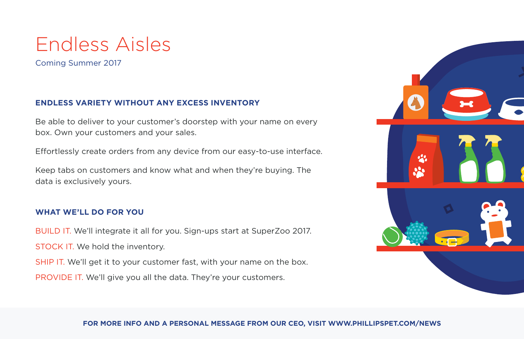# Endless Aisles

Coming Summer 2017

## **ENDLESS VARIETY WITHOUT ANY EXCESS INVENTORY**

Be able to deliver to your customer's doorstep with your name on every box. Own your customers and your sales.

Effortlessly create orders from any device from our easy-to-use interface.

Keep tabs on customers and know what and when they're buying. The data is exclusively yours.

### **WHAT WE'LL DO FOR YOU**

BUILD IT. We'll integrate it all for you. Sign-ups start at SuperZoo 2017. STOCK IT. We hold the inventory.

SHIP IT. We'll get it to your customer fast, with your name on the box.

PROVIDE IT. We'll give you all the data. They're your customers.



#### **FOR MORE INFO AND A PERSONAL MESSAGE FROM OUR CEO, VISIT WWW.PHILLIPSPET.COM/NEWS**